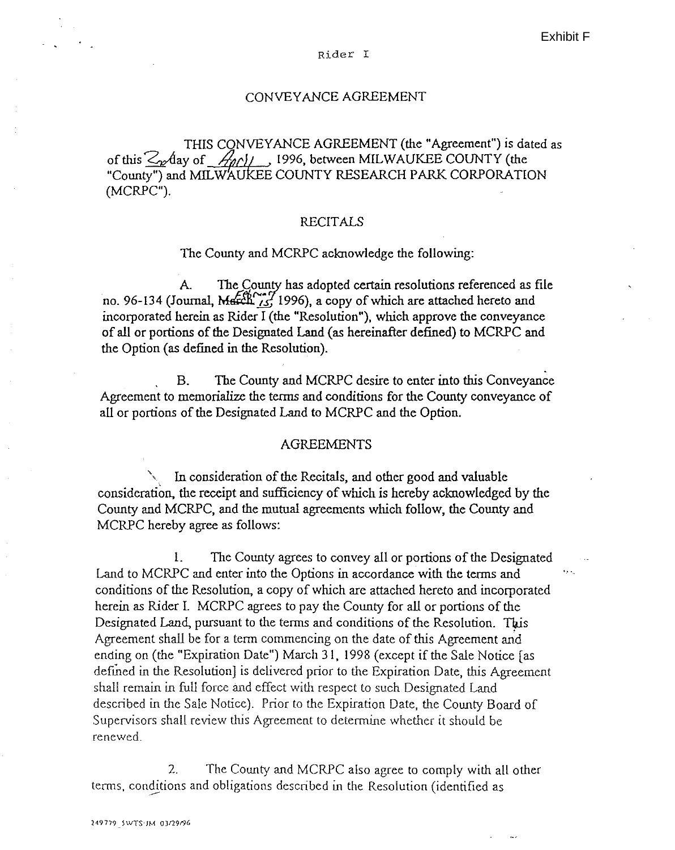Exhibit F

#### Rider I

### CONVEYANCE AGREEMENT

THIS CONVEYANCE AGREEMENT (the "Agreement") is dated as of this  $\mathcal{Z}_{\mathbf{z}}$  day of  $\mathcal{A}_{\mathbf{z}}(t)$ , 1996, between MILWAUKEE COUNTY (the "County") and MILWAUKEE COUNTY RESEARCH PARK CORPORATION (MCRPC").

### RECITALS

#### The County and MCRPC acknowledge the following:

A. The County has adopted certain resolutions referenced as file no. 96-134 (Journal, March  $_{15}^{66}$ , 1996), a copy of which are attached hereto and incorporated herein as Rider I (the "Resolution"), which approve the conveyance of all or portions of the Designated Land (as hereinafter defined) to MCRPC and the Option (as defined in the Resolution).

B. The County and MCRPC desire to enter into this Conveyance Agreement to memorialize the terms and conditions for the County conveyance of all or portions of the Designated Land to MCRPC and the Option.

### AGREEMENTS

In consideration of the Recitals, and other good and valuable consideration, the receipt and sufficiency of which is hereby acknowledged by the County and MCRPC, and the mutual agreements which follow, the County and MCRPC hereby agree as follows:

!. The County agrees to convey all or portions of the Designated Land to MCRPC and enter into the Options in accordance with the terms and conditions of the Resolution, a copy of which are attached hereto and incorporated herein as Rider I. MCRPC agrees to pay the County for all or portions of the Designated Land, pursuant to the terms and conditions of the Resolution. This Agreement shall be for a term commencing on the date of this Agreement and ending on (the "Expiration Date") March 31, 1998 (except if the Sale Notice [as defined in the Resolution, is delivered prior to the Expiration Date, this Agreement shall remain in full force and effect with respect to such Designated Land described in the Sale Notice). Prior to the Expiration Date, the County Board of Supervisors shall review this Agreement to determine whether it should be renewed.

2. The County and MCRPC also agree to comply with all other terms, conditions and obligations described in the Resolution (identified as --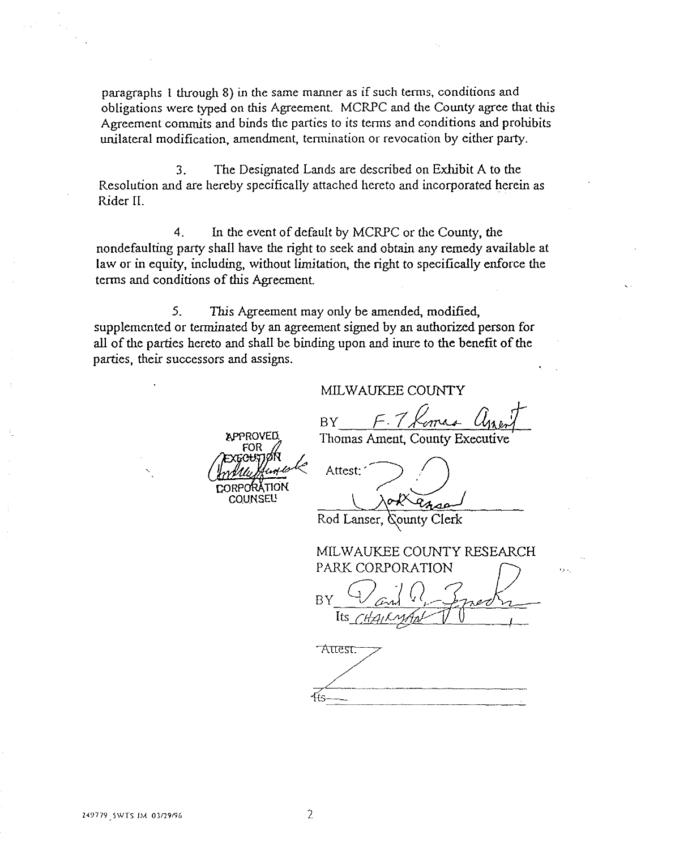paragraphs 1 through 8) in the same manner as if such terms, conditions and obligations were typed on this Agreement. MCRPC and the County agree that this Agreement commits and binds the parties to its terms and conditions and prohibits unilateral modification, amendment, termination or revocation by either party.

3. The Designated Lands are described on Exhibit A to the Resolution and are hereby specifically attached hereto and incorporated herein as Rider II.

4. In the event of default by MCRPC or the County, the nondefaulting party shall have the right to seek and obtain any remedy available at law or in equity, including, without limitation, the right to specifically enforce the terms and conditions of this Agreement.

5. This Agreement may only be amended, modified, supplemented or terminated by an agreement signed by an authorized person for all of the parties hereto and shall be binding upon and inure to the benefit of the parties, their successors and assigns.

## MIL WAUKEE COUNTY

BY F. 7 Komas Une

Thomas Ament, County Executiv

**COUNSEL!** 

**APPROVED** 

Attest:

Rod Lanser, County Clerk

MILWAUKEE COUNTY RESEARCH PARK CORPORATION BY CJ and R Smeck

**Attest:**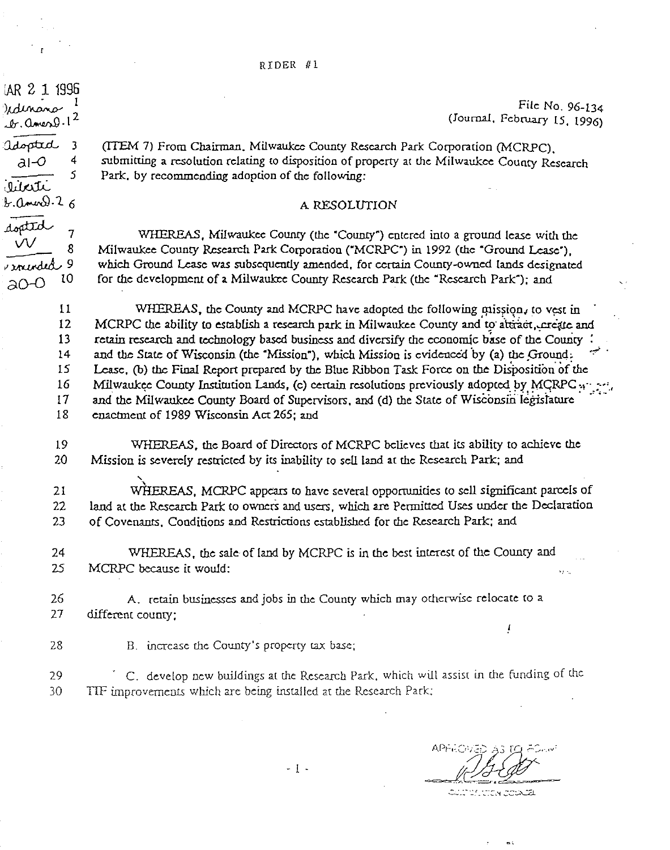$\frac{1}{2}$ lar 2 1 1996<br>Udinano

 $.0.0$  men  $9.1^2$ 

adopted 3

Mati  $6.0 \, \mathrm{m}$   $0.26$ 

dopted

 $~\cdot$ mended $~^9$  $a^{O-O}$ 

 $\frac{a1-0}{s}$  4

7 8

File No. 96-134 (Journal, February 15, 1996)

(ITEM 7) From Chairman. Milwaukee County Research Park Corporation (MCRPC), submitting a resolution relating to disposition of property at the Milwaukee County Research Park. by recommending adoption of the following:

### A RESOLUTION

WHEREAS, Milwaukee County (the "County") entered into a ground lease with the Milwaukee County Research Park Corporation ("MCRPC") in 1992 (the "Ground Lease"), which Ground Lease was subsequently amended, for certain County-owned lands designated for the development of a Milwaukee County Research Park (the "Research Park"); and

 $11$ 12 13 14 15 16 17 18 *WHEREAS, the County and MCRPC have adopted the following mission, to vest in* MCRPC the ability to establish a research park in Milwaukee County and to attract, create and retain research and technology based business and diversify the economic base of the County and the State of Wisconsin (the "Mission"), which Mission is evidenced by (a) the Ground. Lease, (b) the Final Report prepared by the Blue Ribbon Task Force on the Disposition of the Milwaukee County Institution Lands, (c) certain resolutions previously adopted by MCRPC :: : ... and the Milwaukee County Board of Supervisors, and (d) the State of Wisconsin legislature enactment of 1989 Wisconsin Act 265; and

19 20 *WHEREAS,* the Board of Directors of MCRPC believes that its ability to achieve the Mission is severely restricted by its inability to sell land at the Research Park; and

21 22 23 WHEREAS, MCRPC appears to have several opportunities to sell significant parcels of land at the Research Park to owners and users, which are Permitted Uses under the Declaration of Covenants. Conditions and Restrictions established for the Research Park; and

24 WHEREAS, the sale of land by MCRPC is in the best interest of the County and MCRPC because it would: 25 ψų

26 A. retain businesses and jobs in the County which may otherwise relocate to a 27 different county;

28 B. increase the County's property tax base;

29 C. develop new buildings at the Research Park, which will assist in the funding of the 30 TIF improvements which are being installed at the Research Park;

ļ

ದ ದಂತೆ ಮಾಡುವು

 $\omega_i$  ,

- 1 -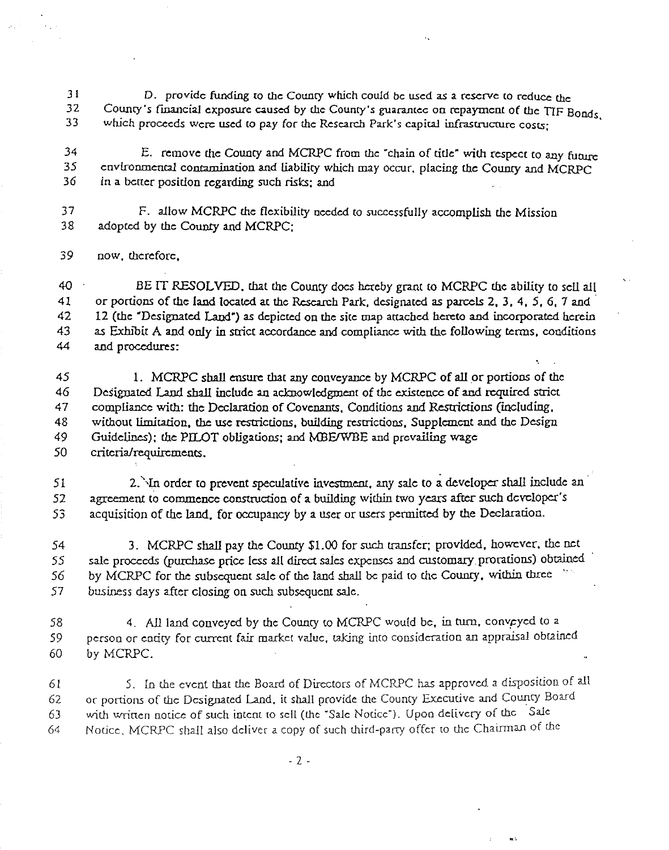31 D. provide funding to the County which could be used as a reserve to reduce the<br>32 County's financial exposure caused by the County's guarantee on repayment of the TIE p 32 County's financial exposure caused by the County's guarantee on repayment of the TIF Bonds.<br>33 which proceeds were used to pay for the Research Park's capital infrastructure costs: which proceeds were used to pay for the Research Park's capital infrastructure costs;

<sup>34</sup> E. remove the County and MCRPC from the "chain of title" with respect to any future<br>35 environmental contamination and liability which may occur placing the County and MCRPC environmental contamination and liability which may occur. placing the County and MCRPC 36 in a better position regarding such risks; and

37 F. allow MCRPC the flexibility needed to successfully accomplish the Mission<br>38 adopted by the County and MCRPC: adopted by the County and MCRPC:

*39* now, therefore,

40 BE IT RESOLVED. that the County docs hereby grant to MCRPC *the* ability to sell all 41 or portions of the land located at the Research Park. designated as parcels 2, 3, 4, 5, 6, 1 and · 42 12 (the "Designated Land") as depicted on the site map arrached hereto and incorporated herein 43 as Exhibit A and only in strict accordance and compliance with the following terms. conditions 44 and procedures:

45 1. MCRPC shall ensure that any conveyance by MCRPC of all or portions of the 46 Designated Land shall include an acknowledgment of the existence of and required strict 47 compliance with: *the* Declaration of Covenants, Conditions and Restrictions (including, 48 without limitation, the use restrictions, building restrictions, Supplement and the Design 49 Guidelines); the PILOT obligations; and MBEIWBE and prevailing wage 50 criteria/requirements.

51 2. In order to prevent speculative investment, any sale to a developer shall include an 52 agreement to commence construction of a building within two years after such developer's 53 acquisition of the land. for occupancy by a user or users permitted by the Declaration.

54 3. MCRPC shall pay the County \$1.00 for such transfer; provided, however, the net 55 sale proceeds (purchase price less all direct sales expenses and customary prorations) obtained 56 by MCRPC for the subsequent sale of the land shall be paid to the County, within three 57 business days after closing on such subsequent sale.

58 4. All land conveyed by *the* County to MCRPC would *be,* in turn. convpyed to a *59* person or entity for current fair market value, taking imo consideration an appraisal obtained 60 by MCRPC.

6! 5. [n tbe event that tbe Board of Directors of MCRPC has approved a disposition of all 62 or portions of the Designated Land. it shall provide tbe County Executive and County Board 63 with written notice of such intent to sell (the "Sale Notice"). Upon delivery of the Sale 64 Nolice. MCRPC shall also deliver a copy of such third-party offer to the Chairman of the

..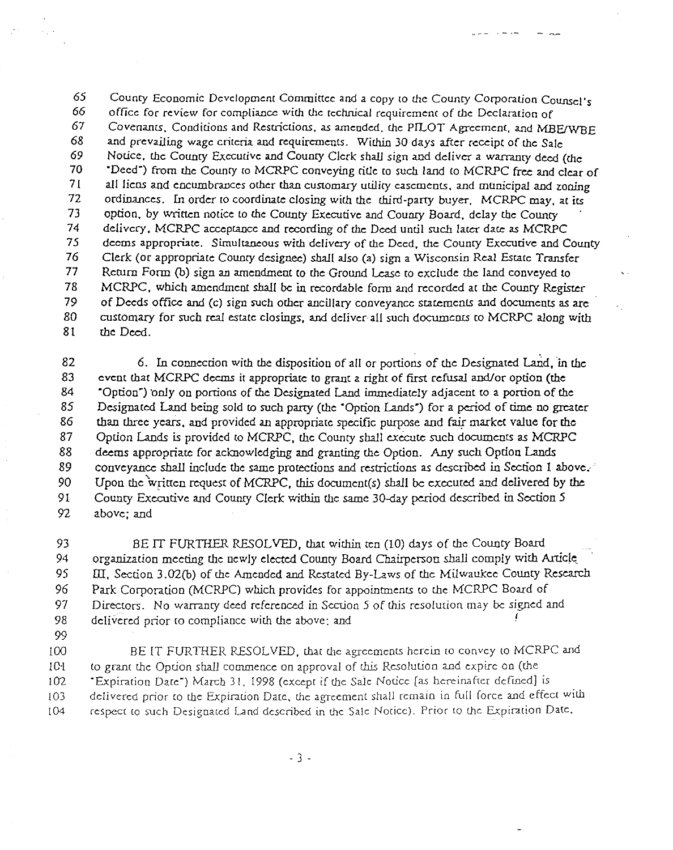65 County Economic Development Committee and a copy to the County Corporation Counsel's  $66$  office for review for compliance with the technical requirement of the Declaration of 66 office for review for compliance with the reclmical requiremenr of *the* Declaration of Covenants. Conditions and Restrictions. as amended. the PILOT Agreement, and MBE/WBE 68 and prevailing wage criteria and requirements. Within 30 days after receipt of the Sale<br>69 Notice, the County Executive and County Clerk shall sign and deliver a warranty deed to 69 Notice. *the* Councy Executive and Councy Clerk *shall* sign and deliver a warrancy deed (the 70 "Deed") from the County ro MCRPC conveying title ro such land co MCRPC free and clear of 71 all liens and encumbrances other than customary utility easemenrs. and mUnicipal and zoning 72 ordinances. In order to coordinate closing with the third-party buyer. MCRPC may, at its<br>73 option, by written notice to the County Executive and County Board, delay the County 73 option, by written notice to the County Executive and County Board, delay the County<br>74 delivery, MCRPC acceptance and recording of the Deed until such later date as MCRP 74 delivery, MCRPC acceptance and recording of *the* Deed until such Iacer dace as MCRPC 75 *deems* appropriate. Simultaneous with delivery of the *Deed,* the Councy *Executive* and County 76 Clerk (or appropriate County designee) shall also (a) sign a Wisconsin Real Estate Transfer 77 Return Form (b) sign an amendment to the Ground Lease ro exclude the land conveyed to 78 MCRPC, which amendment shall *be* in recordable form and recorded at the Counry Register 79 of *Deeds* office and (c) sign such other ancillary conveyance statements and documents as arc 80 customary for such real estate closings, and deliver all such documents to MCRPC along with 81 the Deed.

لشكاش المتسابي

82 6. In connection with the disposition of all or portions of the Designated Land, in the 83 cvent that MCRPC deems it appropriate to grant a right of first refusal and/or option (the 84 "Option") ·only on portions of the Designated Land immediately adjacent to a portion of the 85 Designated Land being sold to such party (the "Option Lands") for a period of time no greater 86 than three years, and provided an appropriate specific purpose and fair market value for the 87 Option Lands is provided to MCRPC, the County shall execute such documents as MCRPC 88 deems appropriate for acknowledging and granting the Option. Any such Option Lands 89 conveyance shall include the *same* protections and restrictions as described in Section 1 *above.·* · 90 Upon the written request of MCRPC, this document(s) shall be executed and delivered by the 91 County Executive and County Clerk within the same 30-day period described in Section 5 92 above; and

93 BE IT FURTHER RESOLVED, that within ten (10) days of the County Board 94 organization *meeting* the newly elected County Board Chairperson shall comply with Article. 95 III, Section 3.02(b) of the Amended and Restated By-Laws of the Milwaukee County Research 96 Park Corporation (MCRPC) which *provides* for appointmenrs to the MCRPC Board of 97 Directors. No warranty deed referenced in Section 5 of this resolution may be signed and 98 delivered prior to compliance with the above: and

*99* 

100 BE IT FURTHER RESOLVED, that the agreements herein to convey to MCRPC and 101 to grant the Option shall commence on approval of this Resolution and expire on (the l02 "Expiration Date") March *31, 1998* (except if the Sale Notice [as hereinafter deftned] is  $103$  delivered prior to the Expiration Date, the agreement shall remain in full force and effect with 104 respect to such Designated Land described in the Sale Notice). Prior to the Expiration Date,

. 3 .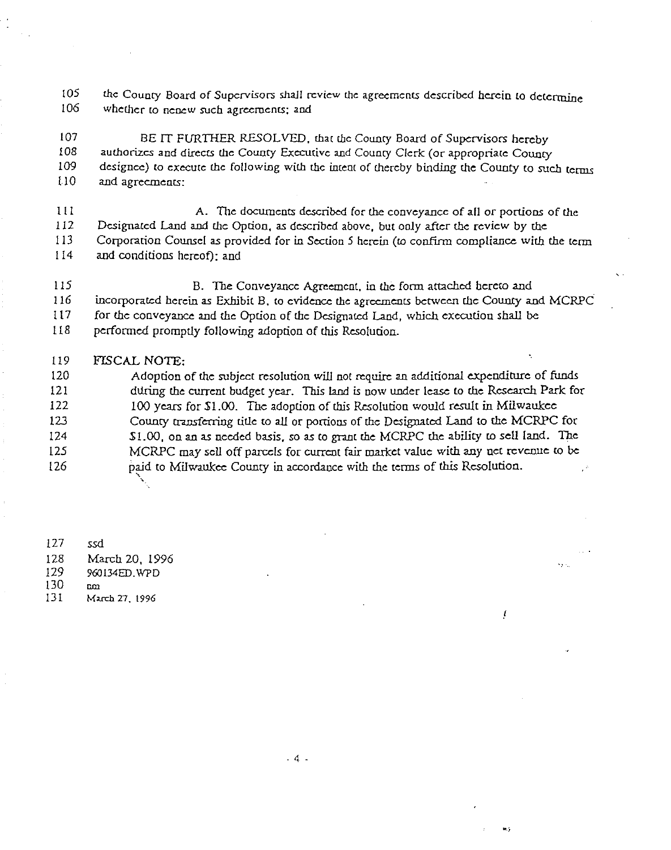$105$  the County Board of Supervisors shall review the agreements described herein to determine<br> $106$  whether to nenew such agreements: and whether to nenew such agreements; and

107 BE IT FURTHER RESOLVED, that the County Board of Supervisors hereby 108 authorizes and directs the County Executive and County Clerk (or appropriate County<br>109 designee) to execute the following with the intent of thereby binding the County to suc designee) to execute the following with the intent of thereby binding the County to such terms 1 10 and agreements:

l I I A. The documents described for the conveyance of all or portions of the 112 Designated Land and the Option, as described above, but only after the review by the 113 Corporation Counsel as provided for in Section 5 herein (to confirm compliance with the term

114 and conditions hereof): and

115 B. The Conveyance Agreement, in the form attached bereto and 116 incorporated herein as Exhibit B, to evidence the agreements between the County and MCRPC 117 for the conveyance and the Option of the Designated Land, which execution shall be

118 performed promptly following adoption of this Resolution.

### I 19 FTSCAL NOTE:

120 Adoption of the subject resolution will not require an additional expenditure of funds 121 during the current budget year. This land is now under lease to the Research Park for 122 100 years for *\$1.00.* The adoption of this Resolution would result in Milwaukee 123 County cransferring title to all or portions of the Designated Land to the MCRPC for !24 S!.OO, on an as needed basis, so as to grant the MCRPC !.he ability *w* sell land. The 125 MCRPC may sell off parcels for current fair market value with any net revenue to be 126 paid to Milwaukee County in accordance with the terms of this Resolution. ' '

127 ssd 128 March 20, 1996 !29 960134ED.WPD 130 am<br>131 Ma 131 Much *71.* 1996

. 4 .

.,

ţ

 $\mathbf{v}$  and  $\mathbf{v}$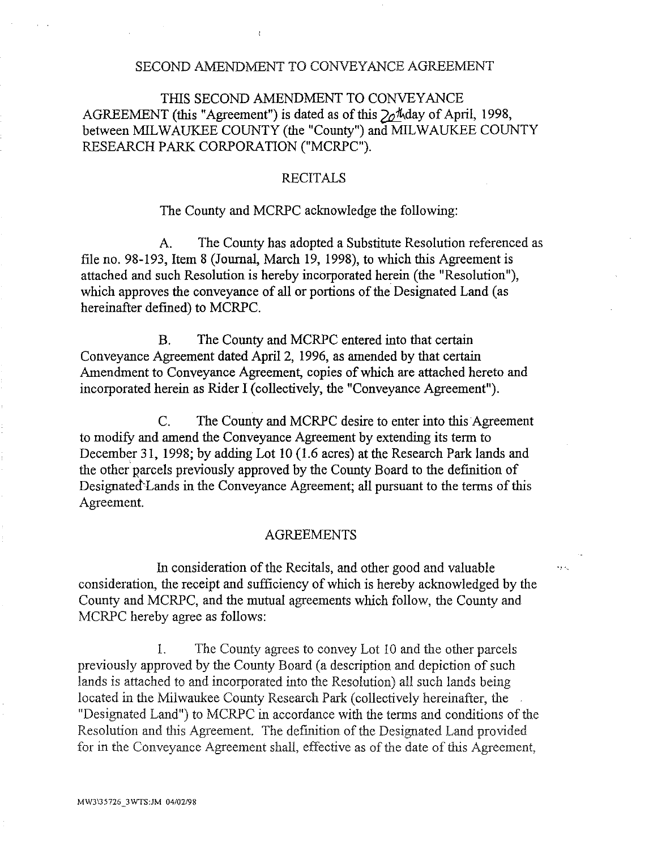## SECOND AMENDMENT TO CONVEYANCE AGREEMENT

# THIS SECOND AMENDMENT TO CONVEYANCE AGREEMENT (this "Agreement") is dated as of this  $20\%$  day of April, 1998, between MILWAUKEE COUNTY (the "County") and MILWAUKEE COUNTY RESEARCH PARK CORPORATION ("MCRPC").

## **RECITALS**

### The County and MCRPC acknowledge the following:

A. The County has adopted a Substitute Resolution referenced as file no. 98-193, Item 8 (Journal, March 19, 1998), to which this Agreement is attached and such Resolution is hereby incorporated herein (the "Resolution"), which approves the conveyance of all or portions of the Designated Land (as hereinafter defined) to MCRPC.

B. The County and MCRPC entered into that certain Conveyance Agreement dated April2, 1996, as amended by that certain Amendment to Conveyance Agreement, copies of which are attached hereto and incorporated herein as Rider I (collectively, the "Conveyance Agreement").

C. The County and MCRPC desire to enter into this Agreement to modify and amend the Conveyance Agreement by extending its term to December 31, 1998; by adding Lot 10 (1.6 acres) at the Research Park lands and the other parcels previously approved by the County Board to the definition of Designated Lands in the Conveyance Agreement; all pursuant to the terms of this Agreement.

## AGREEMENTS

1n consideration of the Recitals, and other good and valuable consideration, the receipt and sufficiency of which is hereby acknowledged by the County and MCRPC, and the mutual agreements which follow, the County and MCRPC hereby agree as follows:

l. The County agrees to convey Lot 10 and the other parcels previously approved by the County Board (a description and depiction of such lands is attached to and incorporated into the Resolution) all such lands being located in the Milwaukee County Research Park (collectively hereinafter, the "Designated Land") to MCRPC in accordance with the terms and conditions of the Resolution and this Agreement. The definition of the Designated Land provided for in the Conveyance Agreement shall, effective as of the date of this Agreement,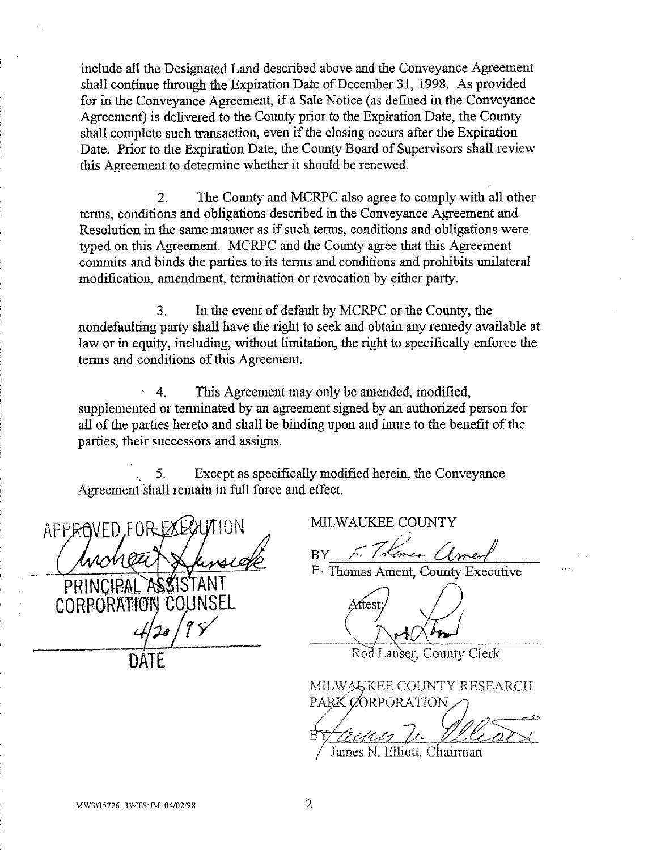include all the Designated Land described above and the Conveyance Agreement shall continue through the Expiration Date of December 31, 1998. As provided for in the Conveyance Agreement, if a Sale Notice (as defined in the Conveyance Agreement) is delivered to the County prior to the Expiration Date, the County shall complete such transaction, even if the closing occurs after the Expiration Date. Prior to the Expiration Date, the County Board of Supervisors shall review this Agreement to determine whether it should be renewed.

2. The County and MCRPC also agree to comply with all other terms, conditions and obligations described in the Conveyance Agreement and Resolution in the same manner as if such terms, conditions and obligations were typed on this Agreement. MCRPC and the County agree that this Agreement commits and binds the parties to its terms and conditions and prohibits unilateral modification, amendment, termination or revocation by either party.

3. In the event of default by MCRPC or the County, the nondefaulting party shall have the right to seek and obtain any remedy available at law or in equity, including, without limitation, the right to specifically enforce the terms and conditions of this Agreement.

4. This Agreement may only be amended, modified, supplemented or terminated by an agreement signed by an authorized person for all of the parties hereto and shall be binding upon and inure to the benefit of the parties, their successors and assigns.

Except as specifically modified herein, the Conveyance Agreement shall remain in full force and effect.

APPROVED, FOR

DAIL

CORPORATIO

MILWAUKEE COUNTY

 $BY$  F. I Kimer Claner

P · Thomas Ament, County Executive

Rod Lanser, County Clerk

MILWAUKEE COUNTY RESEARCH PARK CORPORATION

James N. Elliott, Chairman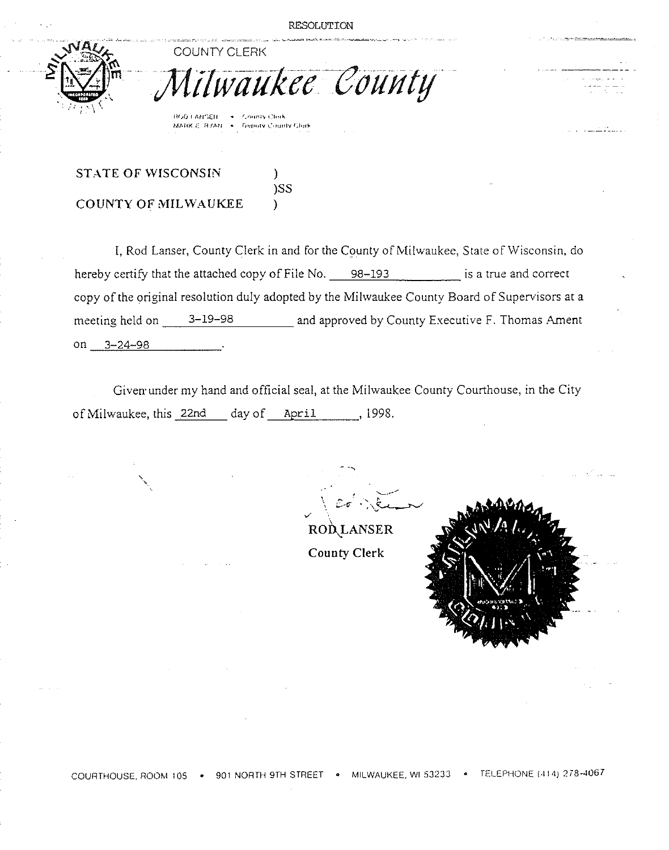ukee County



**llritJ ll\tl'";£1l r,tloo!llY** <~lo•!l.. **MMlK E H'flltl r,.,p.,!v ...\_·,Hmlv** 1;1•:r~

)SS

COUNTY CLERK

# STATE OF WISCONSIN  $\qquad$ ) **COUNTY OF MILWAUKEE** )

' '·

I, Rod Lanser, County Clerk in and for the County of Milwaukee, State of Wisconsin, do hereby certify that the attached copy of File No.  $-$  98-193 is a true and correct copy of the original resolution duly adopted by the Milwaukee County Board of Supervisors at a meeting held on <sup>3-19-98</sup> and approved by County Executive F. Thomas Ament on 3-24-98

Given· under my hand and official seal, at the Milwaukee County Courthouse, in the City of Milwaukee, this 22nd day of April 1998.

*v* ' .....\_ \_\_\_ .....  $co^{\prime}$  . ) .  $\overline{\mathcal{E}}$ 

**ROD..\_LANSER County Clerk** 

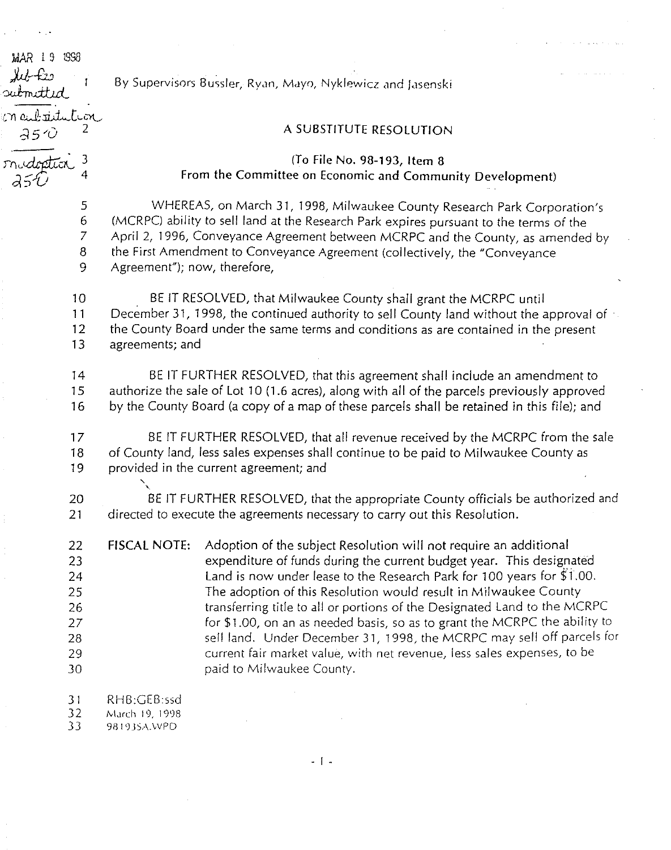| MAR 19 998<br><u>MA tis</u><br>ubmitt <i>id</i> | By Supervisors Bussler, Ryan, Mayo, Nyklewicz and Jasenski                                                                                                       |
|-------------------------------------------------|------------------------------------------------------------------------------------------------------------------------------------------------------------------|
| n aubatitution<br>25 D                          | A SUBSTITUTE RESOLUTION                                                                                                                                          |
|                                                 | (To File No. 98-193, Item 8<br>From the Committee on Economic and Community Development)                                                                         |
| 5                                               | WHEREAS, on March 31, 1998, Milwaukee County Research Park Corporation's                                                                                         |
| $\boldsymbol{6}$                                | (MCRPC) ability to sell land at the Research Park expires pursuant to the terms of the                                                                           |
| $\overline{7}$                                  | April 2, 1996, Conveyance Agreement between MCRPC and the County, as amended by                                                                                  |
| 8                                               | the First Amendment to Conveyance Agreement (collectively, the "Conveyance                                                                                       |
| 9                                               | Agreement"); now, therefore,                                                                                                                                     |
| 10                                              | BE IT RESOLVED, that Milwaukee County shall grant the MCRPC until                                                                                                |
| 11                                              | December 31, 1998, the continued authority to sell County land without the approval of                                                                           |
| 12                                              | the County Board under the same terms and conditions as are contained in the present                                                                             |
| 13                                              | agreements; and                                                                                                                                                  |
| 14                                              | BE IT FURTHER RESOLVED, that this agreement shall include an amendment to                                                                                        |
| 15                                              | authorize the sale of Lot 10 (1.6 acres), along with all of the parcels previously approved                                                                      |
| 16                                              | by the County Board (a copy of a map of these parcels shall be retained in this file); and                                                                       |
| 17                                              | BE IT FURTHER RESOLVED, that all revenue received by the MCRPC from the sale                                                                                     |
| 18                                              | of County land, less sales expenses shall continue to be paid to Milwaukee County as                                                                             |
| 19                                              | provided in the current agreement; and                                                                                                                           |
| 20                                              | BE IT FURTHER RESOLVED, that the appropriate County officials be authorized and                                                                                  |
| 21                                              | directed to execute the agreements necessary to carry out this Resolution.                                                                                       |
| 22<br>23                                        | <b>FISCAL NOTE:</b><br>Adoption of the subject Resolution will not require an additional<br>expenditure of funds during the current budget year. This designated |

**Service State** 

 $\mathcal{L}$ 

23 expenditure of funds during the current budget year. This designated 24 Land is now under lease to the Research Park for 100 years for \$'1.00. 25 The adoption of this Resolution would result in Milwaukee County 26 **transferring title to all or portions of the Designated Land to the MCRPC** 27 **for \$1.00, on an as needed basis, so as to grant the MCRPC the ability to** 28 sell land. Under December 31, 1998, the MCRPC may sell off parcels for 29 current fair market value, with net revenue, less sales expenses, to be 30 paid to Milwaukee County.

31 RHB:GEB:ssd

32 March 19, 1998<br>33 981935A.WPD

98193SA.WPD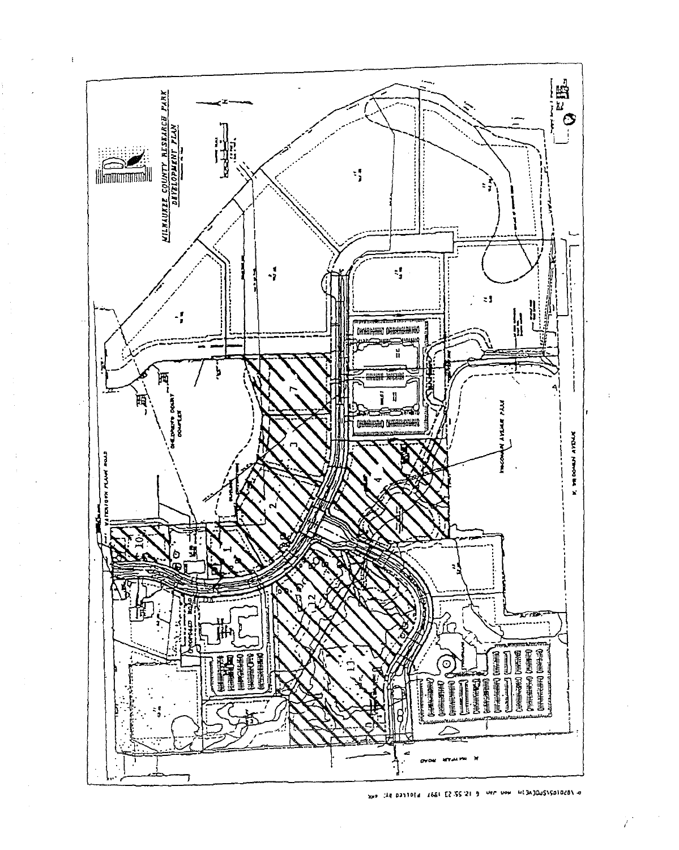

 $\mathfrak{t}$ 

EXP CAR DRITOS& 2661 E2.55.21 9 Wer von HE3AJQu515B1028\ o

I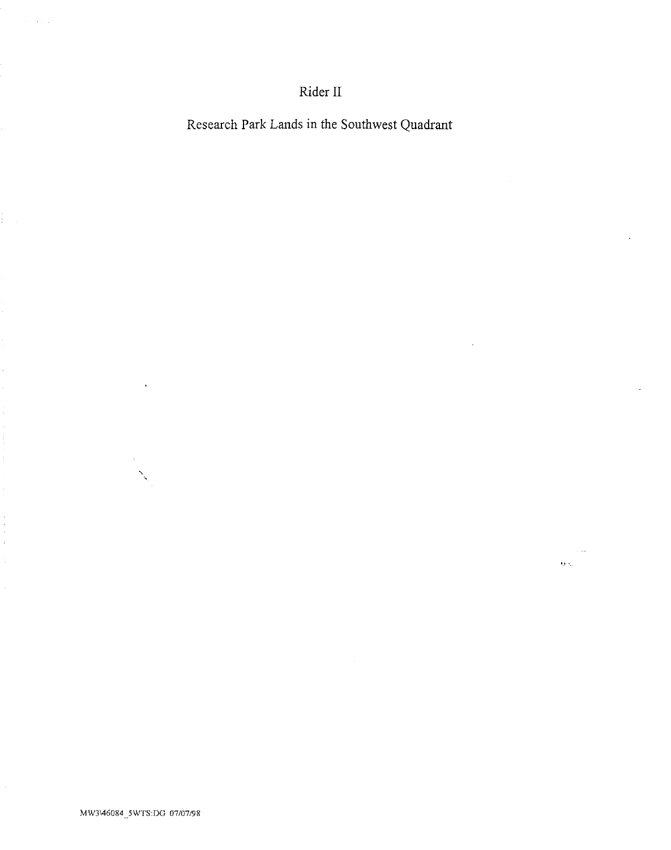# Rider II

Research Park Lands in the Southwest Quadrant

 $\overline{\Omega}$ 

 $\ddot{\phantom{a}}$ 

 $\ddot{\phantom{a}}$ 

بالمهم

 $\alpha$  ,  $\beta$  ,  $\alpha$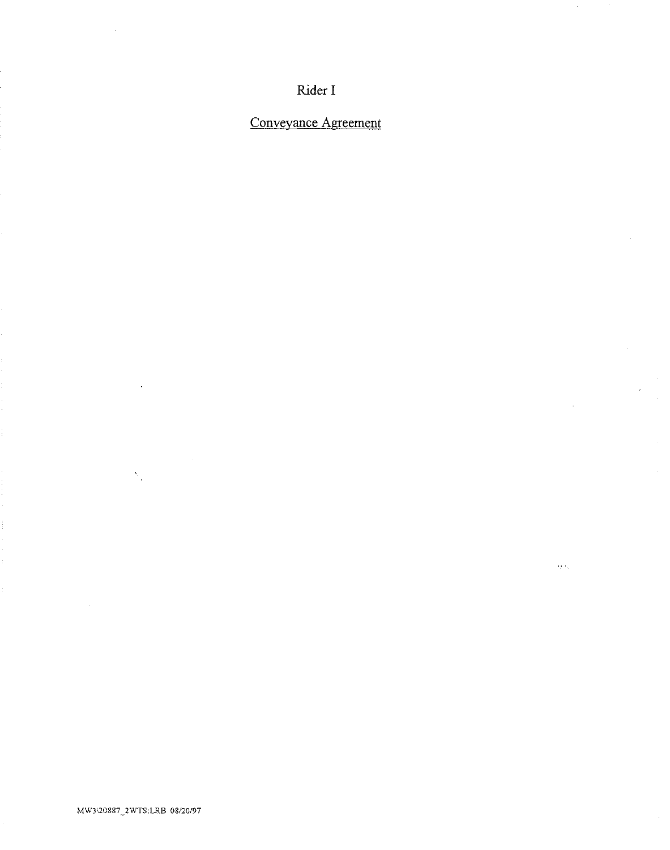Rider I

Conveyance Agreement

 $\hat{\mathcal{L}}$ 

 $\alpha$ 

 $\tilde{Q}(\tilde{q}_1)$ 

 $\mathcal{S}_{\mathcal{A}}$ 

 $\bar{A}$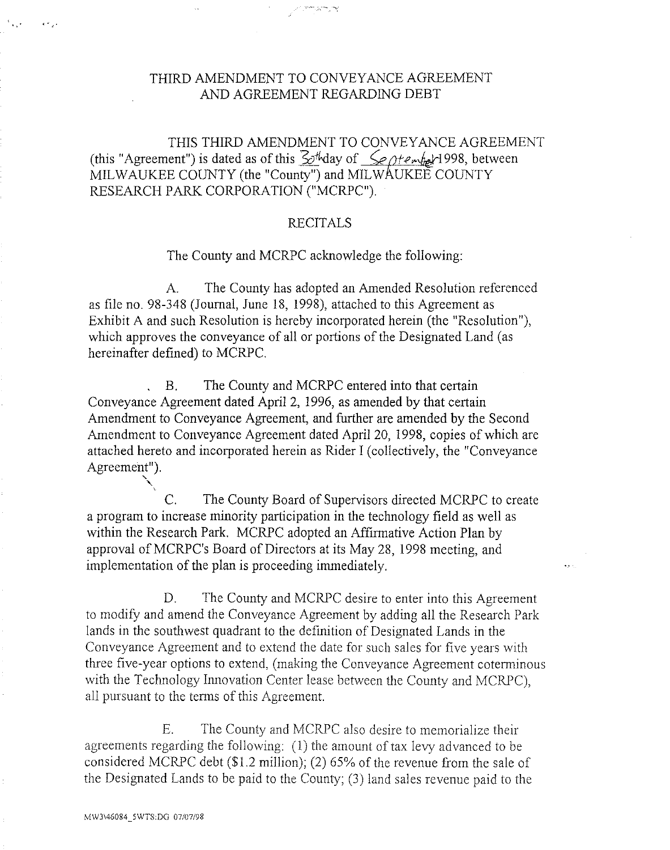# THIRD AMENDMENT TO CONVEYANCE AGREEMENT AND AGREEMENT REGARDING DEBT

THIS THIRD AMENDMENT TO CONVEYANCE AGREEMENT (this "Agreement") is dated as of this  $\mathcal{L}$ thday of  $\leq$ e otember 1998, between MILWAUKEE COUNTY (the "County") and MILWAUKEE COUNTY RESEARCH PARK CORPORATION ("MCRPC").

## RECITALS

The County and MCRPC acknowledge the following:

A. The County has adopted an Amended Resolution referenced as file no. 98-348 (Journal, June 18, 1998), attached to this Agreement as Exhibit A and such Resolution is hereby incorporated herein (the "Resolution"), which approves the conveyance of all or portions of the Designated Land (as hereinafter defined) to MCRPC.

B. The County and MCRPC entered into that certain Conveyance Agreement dated April 2, 1996, as amended by that certain Amendment to Conveyance Agreement, and further are amended by the Second Amendment to Conveyance Agreement dated April 20, 1998, copies of which are attached hereto and incorporated herein as Rider I (collectively, the "Conveyance Agreement").

C. The County Board of Supervisors directed MCRPC to create a program to increase minority participation in the technology field as well as within the Research Park. MCRPC adopted an Affirmative Action Plan by approval of MCRPC's Board of Directors at its May 28, 1998 meeting, and implementation of the plan is proceeding immediately.

D. The County and MCRPC desire to enter into this Agreement to modify and amend the Conveyance Agreement by adding all the Research Park lands in the southwest quadrant to the definition of Designated Lands in the Conveyance Agreement and to extend the date for such sales for five years with three five-year options to extend, (making the Conveyance Agreement coterminous with the Technology Innovation Center lease between the County and MCRPC), all pursuant to the terms of this Agreement

E. The County and MCRPC also desire to memorialize their agreements regarding the following: (1) the amount of tax levy advanced to be considered MCRPC debt (\$1.2 million); (2) 65% of the revenue from the sale of the Designated Lands to be paid to the County; (3) land sales revenue paid to the

 $\ddot{\phantom{a}}$ .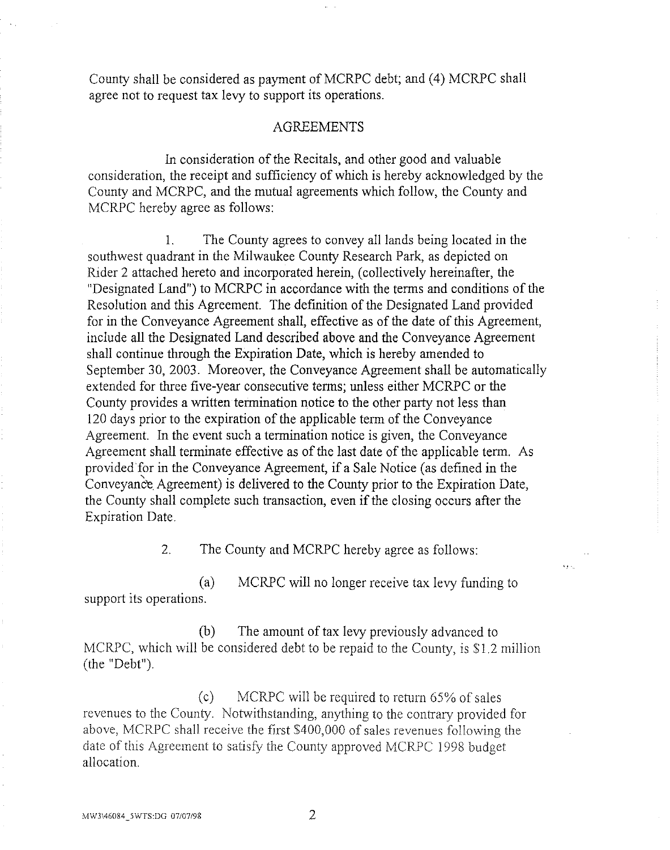County shall be considered as payment of MCRPC debt; and (4) MCRPC shall agree not to request tax levy to support its operations.

## AGREEMENTS

In consideration of the Recitals, and other good and valuable consideration, the receipt and sufficiency of which is hereby acknowledged by the County and MCRPC, and the mutual agreements which follow, the County and MCRPC hereby agree as follows:

1. The County agrees to convey all lands being located in the southwest quadrant in the Milwaukee County Research Park, as depicted on Rider 2 attached hereto and incorporated herein, (collectively hereinafter, the "Designated Land") to MCRPC in accordance with the terms and conditions of the Resolution and this Agreement. The definition of the Designated Land provided for in the Conveyance Agreement shall, effective as of the date of this Agreement, include all the Designated Land described above and the Conveyance Agreement shall continue through the Expiration Date, which is hereby amended to September 30, 2003. Moreover, the Conveyance Agreement shall be automatically extended for three five-year consecutive terms; unless either MCRPC or the County provides a written termination notice to the other party not less than 120 days prior to the expiration of the applicable term of the Conveyance Agreement. In the event such a termination notice is given, the Conveyance Agreement shall terminate effective as of the last date of the applicable term. As provided for in the Conveyance Agreement, if a Sale Notice (as defined in the Conveyance Agreement) is delivered to the County prior to the Expiration Date, the County shall complete such transaction, even if the closing occurs after the Expiration Date.

2. The County and MCRPC hereby agree as follows:

(a) MCRPC will no longer receive tax levy funding to support its operations.

(b) The amount of tax levy previously advanced to MCRPC, which will be considered debt to be repaid to the County, is \$1.2 million (the "Debt").

(c) MCRPC will be required to retum 65% of sales revenues to the County. Notwithstanding, anything to the contrary provided for above, MCRPC shall receive the first \$400,000 of sales revenues following the date of this Agreement to satisfy the County approved MCRPC 1998 budget allocation.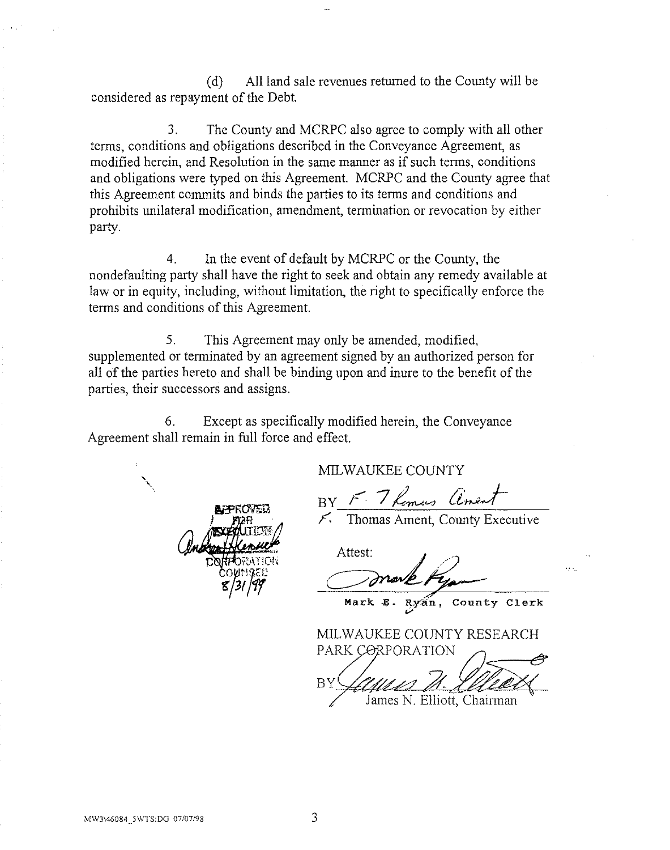(d) All land sale revenues returned to the County will be considered as repayment of the Debt.

3. The County and MCRPC also agree to comply with all other terms, conditions and obligations described in the Conveyance Agreement, as modified herein, and Resolution in the same manner as if such terms, conditions and obligations were typed on this Agreement. MCRPC and the County agree that this Agreement commits and binds the parties to its terms and conditions and prohibits unilateral modification, amendment, termination or revocation by either party.

4. In the event of default by MCRPC or the County, the nondefaulting party shall have the right to seek and obtain any remedy available at law or in equity, including, without limitation, the right to specifically enforce the terms and conditions of this Agreement.

5. This Agreement may only be amended, modified, supplemented or terminated by an agreement signed by an authorized person for all of the parties hereto and shall be binding upon and inure to the benefit of the parties, their successors and assigns.

6. Except as specifically modified herein, the Conveyance Agreement shall remain in full force and effect.

MILWAUKEE COUNTY

BY F. 7 Romas anent

*,F.* Thomas Ament, County Executive

Attest:

Mark **E.** Ryan, County Clerk

MILWAUKEE COUNTY RESEARCH PARK CORPORATION

ΒY

' '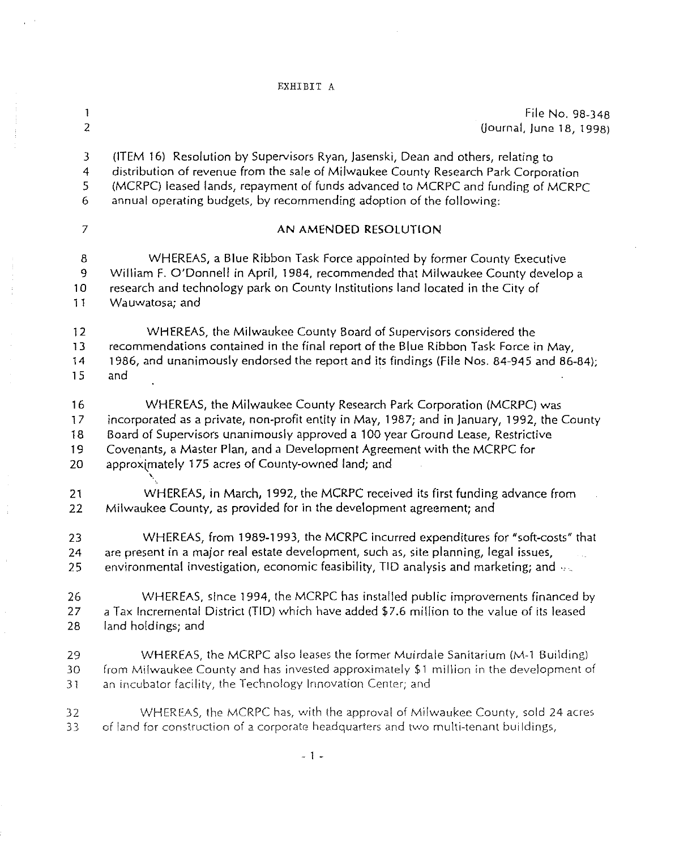# EXHIBIT A

 $\sim 10^{-1}$ 

 $\mathcal{L}_{\mathcal{A}}$  is a set of the set of the set of  $\mathcal{L}_{\mathcal{A}}$ 

| $\mathbf{1}$     | File No. 98-348                                                                             |
|------------------|---------------------------------------------------------------------------------------------|
| $\overline{z}$   | (Journal, June 18, 1998)                                                                    |
| 3                | (ITEM 16) Resolution by Supervisors Ryan, Jasenski, Dean and others, relating to            |
| 4                | distribution of revenue from the sale of Milwaukee County Research Park Corporation         |
| 5                | (MCRPC) leased lands, repayment of funds advanced to MCRPC and funding of MCRPC             |
| 6                | annual operating budgets, by recommending adoption of the following:                        |
| $\boldsymbol{7}$ | AN AMENDED RESOLUTION                                                                       |
| 8                | WHEREAS, a Blue Ribbon Task Force appointed by former County Executive                      |
| 9                | William F. O'Donnell in April, 1984, recommended that Milwaukee County develop a            |
| 10               | research and technology park on County Institutions land located in the City of             |
| 11               | Wauwatosa; and                                                                              |
| 12               | WHEREAS, the Milwaukee County Board of Supervisors considered the                           |
| 13               | recommendations contained in the final report of the Blue Ribbon Task Force in May,         |
| 14               | 1986, and unanimously endorsed the report and its findings (File Nos. 84-945 and 86-84);    |
| 15               | and                                                                                         |
| 16               | WHEREAS, the Milwaukee County Research Park Corporation (MCRPC) was                         |
| 17               | incorporated as a private, non-profit entity in May, 1987; and in January, 1992, the County |
| 18               | Board of Supervisors unanimously approved a 100 year Ground Lease, Restrictive              |
| 19               | Covenants, a Master Plan, and a Development Agreement with the MCRPC for                    |
| 20               | approximately 175 acres of County-owned land; and                                           |
| 21               | WHEREAS, in March, 1992, the MCRPC received its first funding advance from                  |
| 22               | Milwaukee County, as provided for in the development agreement; and                         |
| 23               | WHEREAS, from 1989-1993, the MCRPC incurred expenditures for "soft-costs" that              |
| 24               | are present in a major real estate development, such as, site planning, legal issues,       |
| 25               | environmental investigation, economic feasibility, TID analysis and marketing; and $\sim$   |
| 26               | WHEREAS, since 1994, the MCRPC has installed public improvements financed by                |
| 27               | a Tax Incremental District (TID) which have added \$7.6 million to the value of its leased  |
| 28               | land holdings; and                                                                          |
| 29               | WHEREAS, the MCRPC also leases the former Muirdale Sanitarium (M-1 Building)                |
| 30               | from Milwaukee County and has invested approximately \$1 million in the development of      |
| 31               | an incubator facility, the Technology Innovation Center; and                                |
| 32               | WHEREAS, the MCRPC has, with the approval of Milwaukee County, sold 24 acres                |
| 33 <sup>2</sup>  | of land for construction of a corporate headquarters and two multi-tenant buildings,        |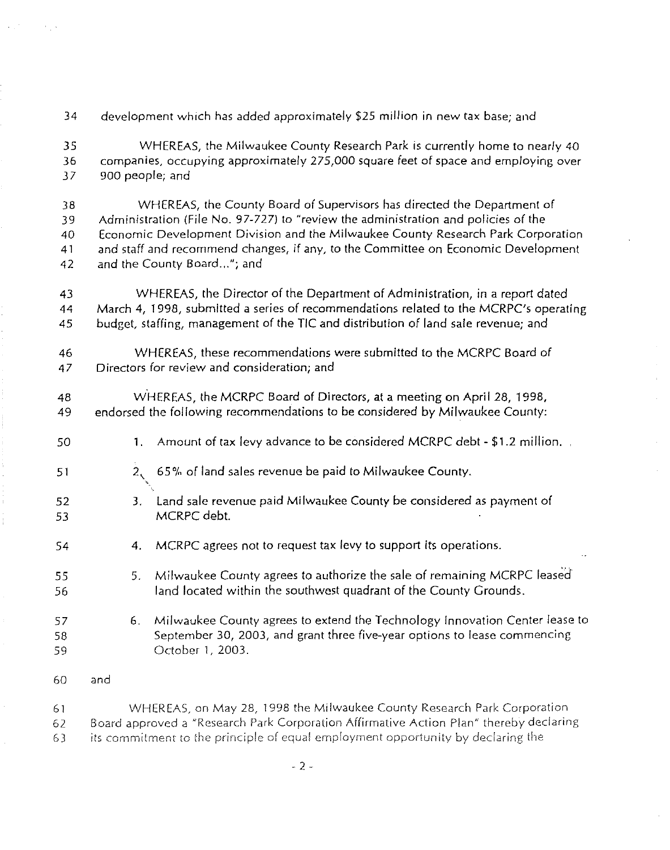34 development which has added approximately \$25 million in new tax base; and

35 WHEREAS, the Milwaukee County Research Park is currently home to nearly 40 36 companies, occupying approximately 275,000 square feet of space and employing over 37 900 people; and

38 WHEREAS, the County Board of Supervisors has directed the Department of 39 Administration (File No. 97-727) to "review the administration and policies of the 40 Economic Development Division and the Milwaukee County Research Park Corporation 41 and staff and recommend changes, if any, to the Committee on Economic Development 42 and the County Board..."; and

43 WHEREAS, the Director of the Department of Administration, in a report dated 44 March 4, 1998, submitted a series of recommendations related to the MCRPC's operating 45 budget, staffing, management of the TIC and distribution of land sale revenue; and

46 WHEREAS, these recommendations were submitted to the MCRPC Board of 47 Directors for review and consideration; and

48 w·HEREAS, the MCRPC Board of Directors, at a meeting on April 28, 1998, 49 endorsed the following recommendations to be considered by Milwaukee County:

- 50 1. Amount of tax levy advance to be considered MCRPC debt- \$1.2 million.
- 51 2, 65% of land sales revenue be paid to Milwaukee County.
- 52 53 '· 3. Land sale revenue paid Milwaukee County be considered as payment of MCRPC debt.
- 54 4. MCRPC agrees not to request tax levy to support its operations.
- 55 56 5. Milwaukee County agrees to authorize the sale of remaining MCRPC leased land located within the southwest quadrant of the County Grounds.
- 57 58 59 6. Milwaukee County agrees to extend the Technology Innovation Center lease to September 30, 2003, and grant three five-year options to lease commencing October 1, 2003.
- 60 and

61 WHEREAS, on *May* 28, 1998 the Milwaukee County Research Park Corporation 62 Board approved a "Research Park Corporation Affirmative Action Plan" thereby declaring 63 its commitment to the principle of equal employment opportunity by declaring the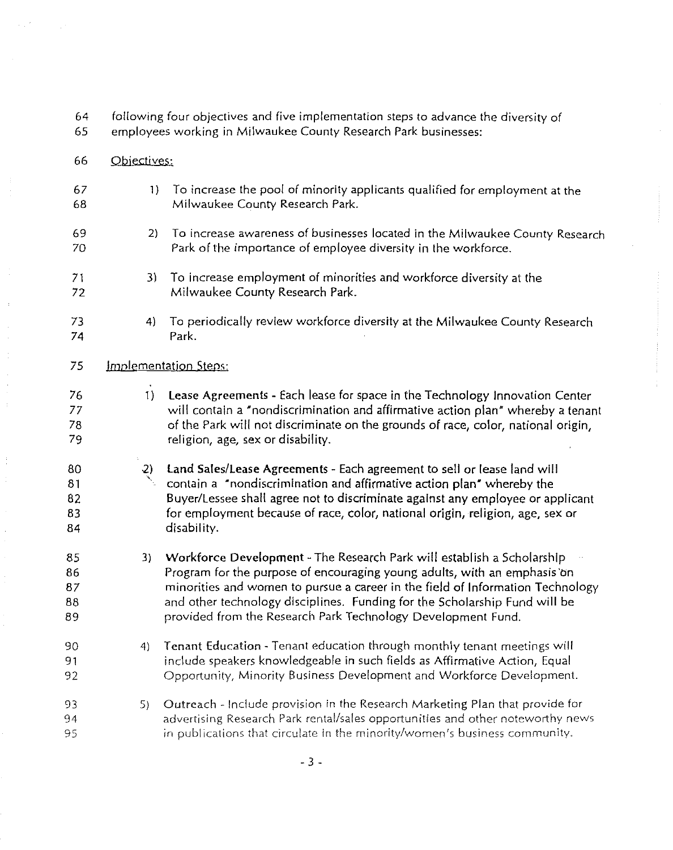- 64 following four objectives and five implementation steps to advance the diversity of
- 65 employees working in Milwaukee County Research Park businesses:
- 66 Objectives:
- 67 68 1) To increase the pool of minority applicants qualified for employment at the Milwaukee County Research Park.
- 69 70 2) To increase awareness of businesses located in the Milwaukee County Research Park of the importance of employee diversity in the workforce.
- 71 72 3) To increase employment of minorities and workforce diversity at the Milwaukee County Research Park.
- 73 74 4) To periodically review workforce diversity at the Milwaukee County Research Park.
- 75 Implementation Steps:
- 76 77 78 79 1) Lease Agreements- Each lease for space in the Technology Innovation Center will contain a 'nondiscrimination and affirmative action plan" whereby a tenant of the Park will not discriminate on the grounds of race, color, national origin, religion, age, sex or disability.
- 80 81 82 83 84 -2) ' Land Sales/Lease Agreements- Each agreement to sell or lease land will contain a "nondiscrimination and affirmative action plan" whereby the Buyer/Lessee shall agree not to discriminate against any employee or applicant for employment because of race, color, national origin, religion, age, sex or disability.
- 85 86 87 88 89 3) Workforce Development- The Research Park will establish a Scholarship Program for the purpose of encouraging young adults, with an emphasis 'bn minorities and women to pursue a career in the field of Information Technology and other technology disciplines. Funding for the Scholarship Fund will be provided from the Research Park Technology Development Fund.
- 90 91 92 4) Tenant Education- Tenant education through monthly tenant meetings will include speakers knowledgeable in such fields as Affirmative Action, Equal Opportunity, Minority Business Development and Workforce Development.
- 93 94 95 5) Outreach- Include provision in the Research Marketing Plan that provide for advertising Research Park rental/sales opportunities and other noteworthy news in publications that circulate in the minority/women's business community.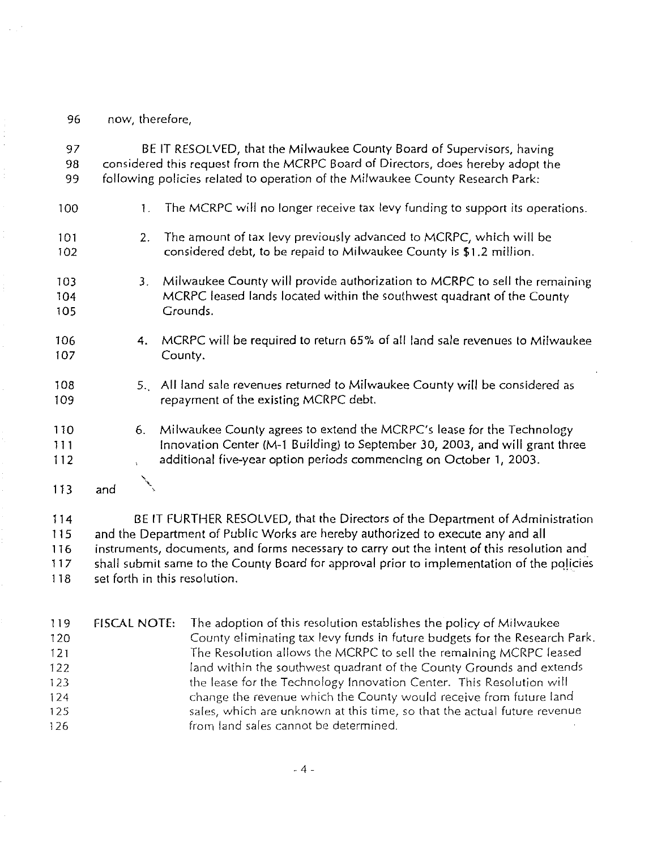96 now, therefore,

97 BE IT RESOLVED, that the Milwaukee County Board of Supervisors, having 98 considered this request from the MCRPC Board of Directors, does hereby adopt the 99 following policies related to operation of the Milwaukee County Research Park: 100 1. The MCRPC will no longer receive tax levy funding to support its operations. 2. The amount of tax levy previously advanced to MCRPC, which will be 101 102 considered debt, to be repaid to Milwaukee County is \$1.2 million. 3. Milwaukee County will provide authorization to MCRPC to sell the remaining 103 MCRPC leased lands located within the southwest quadrant of the County 104 105 Grounds. 106 4. MCRPC will be required to return 65% of all land sale revenues to Milwaukee 107 County. 5., All land sale revenues returned to Milwaukee County will be considered as 108 repayment of the existing MCRPC debt. 109 6. Milwaukee County agrees to extend the MCRPC's lease for the Technology 110 Innovation Center (M-1 Building) to September 30, 2003, and will grant three 1 1 1 additional five-year option periods commencing on October 1, 2003. 112 ing level 113 and 114 BE IT FURTHER RESOLVED, that the Directors of the Department of Administration 115 and the Department of Public Works are hereby authorized to execute any and all 116 instruments, documents, and forms necessary to carry out the intent of this resolution and

117 shall submit same to the County Board for approval prior to implementation of the policies 118 set forth in this resolution.

119 FISCAL NOTE: The adoption of this resolution establishes the policy of Milwaukee 120 County eliminating tax levy funds in future budgets for the Research Park. 121 The Resolution allows the MCRPC to sell the remaining MCRPC leased 122 land within the southwest quadrant of the County Grounds and extends 123 the lease for the Technology Innovation Center. This Resolution will 124 change the revenue which the County would receive from future land 125 sales, which are unknown at this time, so that the actual future revenue 126 **from land sales cannot be determined.**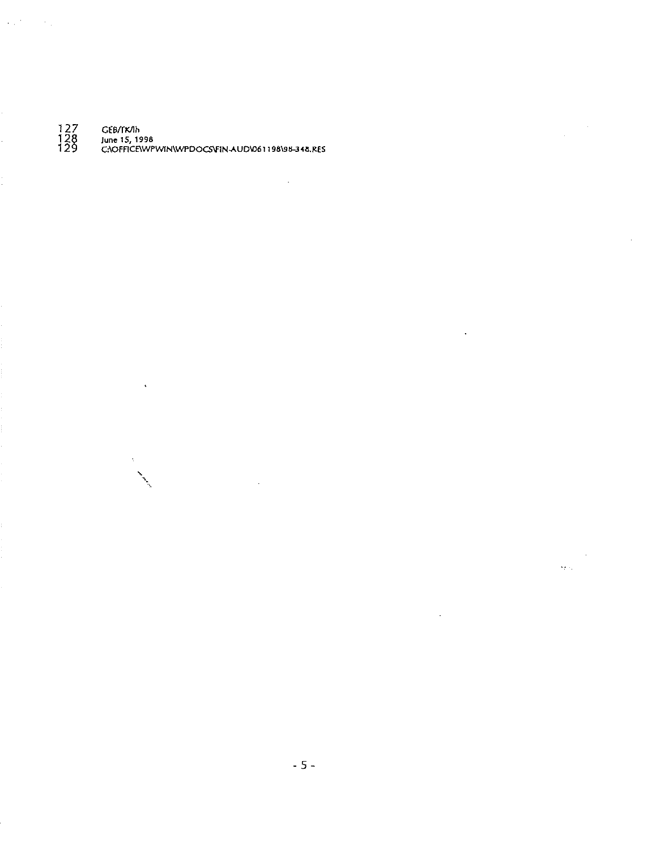127 GEB/TK/Ih

 $\langle \phi_{\alpha} \rangle^{\mu}$  ,  $\langle \phi_{\alpha} \rangle$ 

12~ **June** 15, **1996**  12 C:\OFFICE\WPWIN\WPDOCSV'IN-AU0\061198191<-3 <8.RES

 $\ddot{\phantom{a}}$ 

 $\Delta$ 

 $\sim 10^{-11}$ 

 $\mathcal{L}^{\mathcal{A}}$ 

 $\mathcal{L}^{\prime}$ 

 $\sim$  $\langle \hat{S}_{\mathcal{F}} | \hat{S}_{\mathcal{F}} \rangle$ 

 $\sim 10$ 

 $\sim 10^{-1}$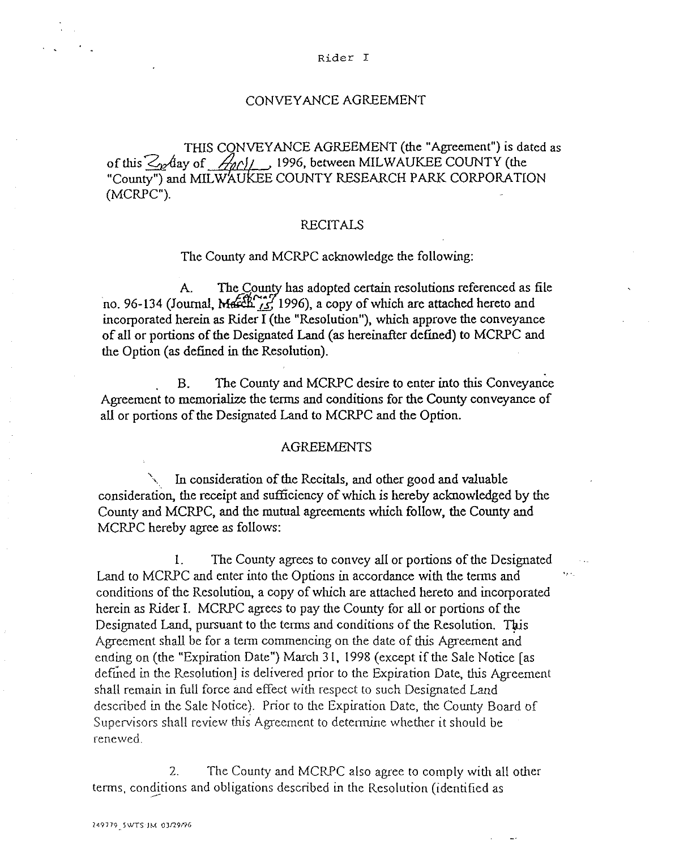THIS CONVEYANCE AGREEMENT (the "Agreement") is dated as of this  $\mathcal{Z}_{\mathcal{P}}$ day of  $\mathcal{A}_{\mathcal{P}}$ //, 1996, between MILWAUKEE COUNTY (the "County") and MILWAUKEE COUNTY RESEARCH PARK CORPORATION (MCRPC").

CONVEYANCE AGREEMENT

# RECITALS

The County and MCRPC acknowledge the following:

A. The County has adopted certain resolutions referenced as file no. 96-134 (Journal, March,  $\frac{1}{25}$ , 1996), a copy of which are attached hereto and incorporated herein as Rider I (the "Resolution"), which approve the conveyance of all or portions of the Designated Land (as hereinafter defined) to MCRPC and the Option (as defined in the Resolution).

. B. The County and MCRPC desire to enter into this Conveyance Agreement to memorialize the terms and conditions for the County conveyance of all or portions of the Designated Land to MCRPC and the Option.

# AGREEMENTS

In consideration of the Recitals, and other good and valuable consideration, the receipt and sufficiency of which is hereby acknowledged by the County and MCRPC, and the mutual agreements which follow, the County and MCRPC hereby agree as follows:

l. The County agrees to convey all or portions of the Designated Land to MCRPC and enter into the Options in accordance with the terms and conditions of the Resolution, a copy of which are attached hereto and incorporated herein as Rider I. MCRPC agrees to pay the County for all or portions of the Designated Land, pursuant to the terms and conditions of the Resolution. This. Agreement shall be for a term commencing on the date of this Agreement and ending on (the "Expiration Date") March 31, 1998 (except if the Sale Notice (as defmed in the Resolution] is delivered prior to the Expiration Date, this Agreement shall remain in full force and effect with respect to such Designated Land described in the Sale Notice). Prior to the Expiration Date, the County Board of Supervisors shall review this Agreement to determine whether it should be renewed.

2. The County and MCRPC also agree to comply with all other terms, conditions and obligations described in the Resolution (identified as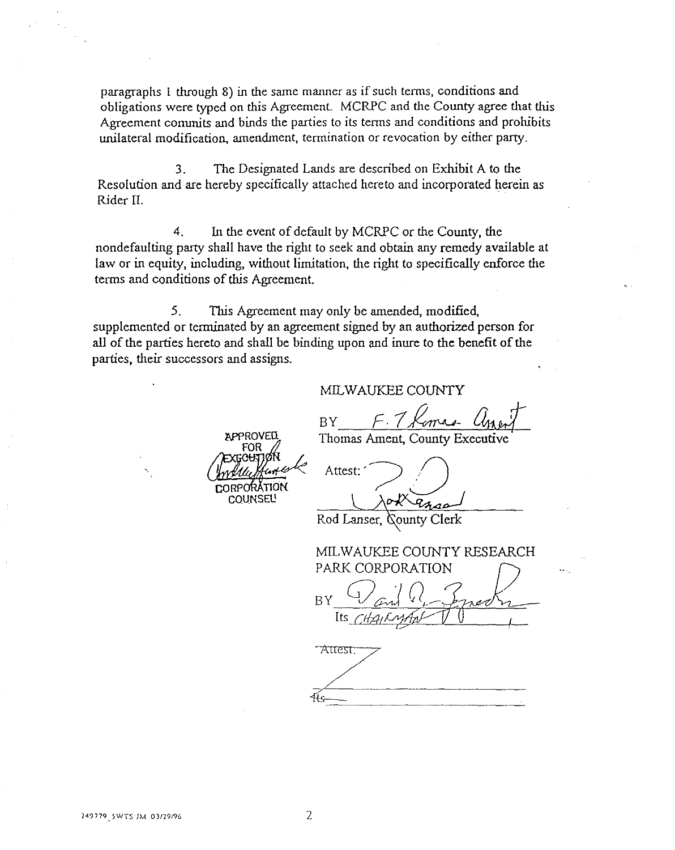paragraphs I through 8) in the same manner as if such terms, conditions and obligations were typed on this Agreement. MCRPC and the County agree that this Agreement conunits and binds the parties to its terms and conditions and prohibits unilateral modification, amendment, termination or revocation by either party.

3. The Designated Lands are described on Exhibit A to the Resolution and are hereby specifically attached hereto and incorporated herein as Rider II.

4. In the event of default by MCRPC or the County, the nondefaulting party shall have the right to seek and obtain any remedy available at law or in equity, including, without limitation, the right to specifically enforce the terms and conditions of this Agreement.

5. This Agreement may only be amended, modified, supplemented or terminated by an agreement signed by an authorized person for all of the parries hereto and shall be binding upon and inure to the benefit of the parties, their successors and assigns.

## MILWAUKEE COUNTY

BY F. 7 Komas U

Thomas Ament, County Executive

**COUNSEL!** 

APPROVED

Attest:

Rod Lanser, County Clerk

MILWAUKEE COUNTY RESEARCH PARK CORPORATION  $BY \frac{Q}{H}$  and  $Q$  . Enother

"Attest: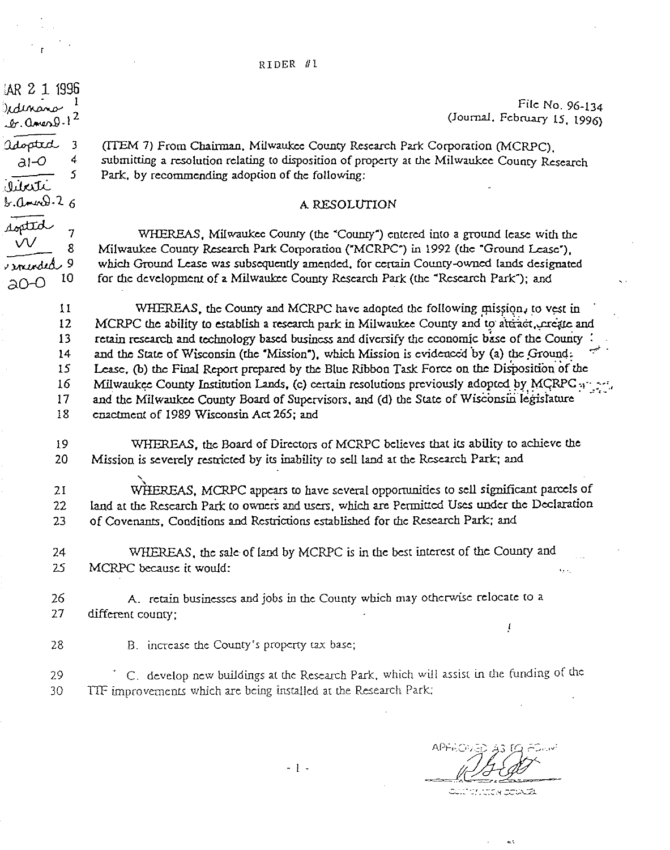RIDER Ill

 $\frac{1}{2}$ lar 2 1 1996<br>Jedinano

 $r.0$ men $9.1$ 

 $\frac{1}{2}$   $\frac{3}{4}$  $a - 0$ 

 $\lambda$ . ann $9.2$  6

~7 *\IV* 

a0-0 <sup>10</sup>

 $\frac{\text{V}}{\text{r} \cdot \text{r} \cdot \text{v} \cdot \text{v}}$  8

*5* 

 $\mu$ uti

File No. 96-134 (Journal, February 15, 1996)

(ITEM 7) From Chainnan. Milwaukee County Research Park Corporation (MCRPC). submitting a resolution relating to disposition of property at the Milwaukee County Research Park. by recommending adoption of the following:

### A RESOLUTION

WHEREAS, Milwaukee County (the "County") entered into a ground lease with the Milwaukee County Research Park Corporation ("MCRPC") in 1992 (the "Ground Lease"), which Ground *Lease* was subsequently amended, for certain County-owned lands designated for che development of a Milwaukee County Research Park (the "Research Park"); and

11 12 13 14 15 16 17 18 WHEREAS, the County and MCRPC have adopted the following mission, to vest in MCRPC the ability to establish a research park in Milwaukee County and to attract, create and retain research and technology based business and diversify the economic base of the County : and the State of Wisconsin (the "Mission"), which Mission is evidenced by (a) the Ground: Lease. (b) the Final Report prepared by the Blue Ribbon Task Force on the Disposition of the Milwaukee County Institution Lands, (c) certain resolutions previously adopted by MCRPC  $\cdots$  ... and the Milwaukee County Board of Supervisors, and (d) the State of Wisconsin legislature enactment of 1989 Wisconsin Act 265; and

19 20 WHEREAS, the Board of Directors of MCRPC believes that its ability to achieve the Mission is severely restricted by its inability to sell land at the Research Park; and

21 22 23 WHEREAS, MCRPC appears to have several opportunities to sell significant parcels of land at the Research Park to owners and users, which are Permitted Uses under the Declaration of Covenants, Conditions and Restrictions established for the Research Park; and

24 25 WHEREAS, the sale of land by MCRPC is in the best interest of the County and MCRPC because it would:

26 27 A. retain businesses and jobs in the County which may otherwise relocate to a different county;

28 B. increase the County's property tax base;

29 C. develop new buildings at the Research Park, which will assist in the funding of the 30 TIF improvements which are being installed at the Research Park;

 $\pmb{l}$ 

**CALTER JUNEA DE DE CEL** 

. .•

ل وه

- l .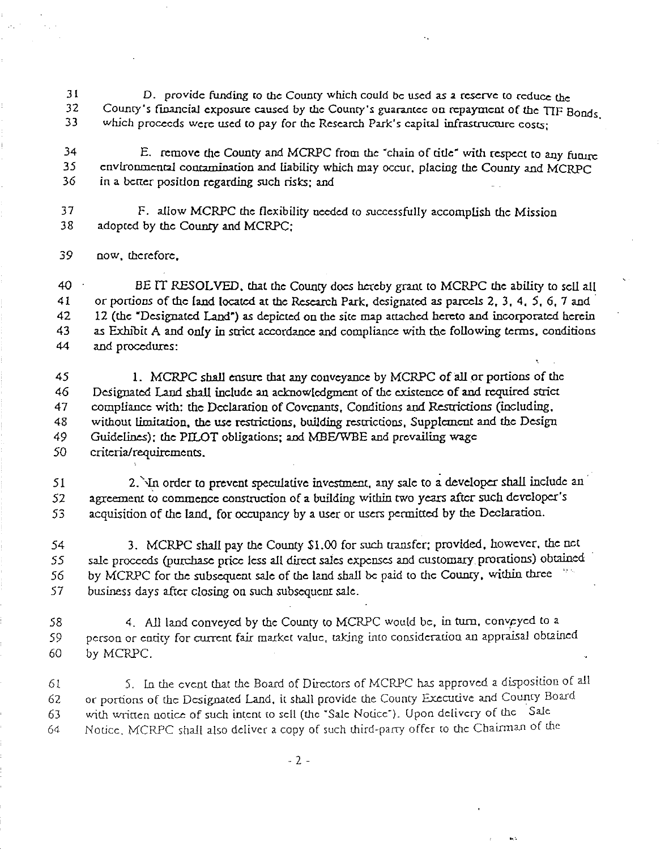31 32 33 D. provide funding to the County which could be used as a reserve to reduce the County's financial exposure caused by the County's guarantee on repayment of the TIF Bonds which proceeds were used to pay for the Research Park's capital infrastructure costs;

34 *35*  36 E. remove the County and MCRPC from the "chain of title" with respect to any funire environmental contamination and liability which may occur, placing the County and MCRPC in a better position regarding such risks; and

37 38 F. allow MCRPC the flexibility needed to successfully accomplish the Mission adopted by the County and MCRPC:

39 now. therefore,

40 41 42 43 44 BE IT RESOLVED, that the County does hereby grant to MCRPC the ability to sell all or portions of the land located at the Research Park, designated as parcels 2, 3, 4, 5, 6, 7 and 12 (the "Designated Land") as depicted on the site map attached hereto and incorporated herein as Exhibit A and only in strict accordance and compliance with the following terms, conditions and procedures:

45 46 47 48 49 *50*  1. MCRPC shall ensure that any conveyance by MCRPC of all or portions of the Designated Land shall include an acknowledgment of the existence of and required strict compliance with: the Declaration of Covenants, Conditions and Restrictions (including, without limitation, the use restrictions, building restrictions, Supplement and the Design Guidelines); the PILOT obligations; and MBE/WBE and prevailing wage criteria/requirements.

51 52 53 2. In order to prevent speculative investment, any sale to a developer shall include an agreement to commence construction of a building within two years after such developer's acquisition of *the* land, for occupancy by a user or users permitted by the Declaration.

54 *55 56*  57 3. MCRPC shall pay the County \$1.00 for such transfer; provided, however, the net *sale* proceeds (purchase price less all direct *sales* expenses and customary prorations) obtained by MCRPC for the subsequent sale of the land shall *be* paid to the Couory. within three " business days after closing on such subsequent *sale.* 

58 59 60 4. *All* land conveyed by the County to MCRPC would *be,* in tum. convpyed to a person or entity for current fair market value, taking into consideration an appraisal obtained by MCRPC.

61 62 63 64 5. Ln the event that the Board of Directors of MCRPC has approved a disposition of all or portions of the Designated Land, it sball provide the County Executive and County Board with written notice of such intent to sell (the 'Sale Notice'). Upon delivery of the Sale Notice. MCRPC shall also deliver a copy of such third-party offer to the Chairman of the

..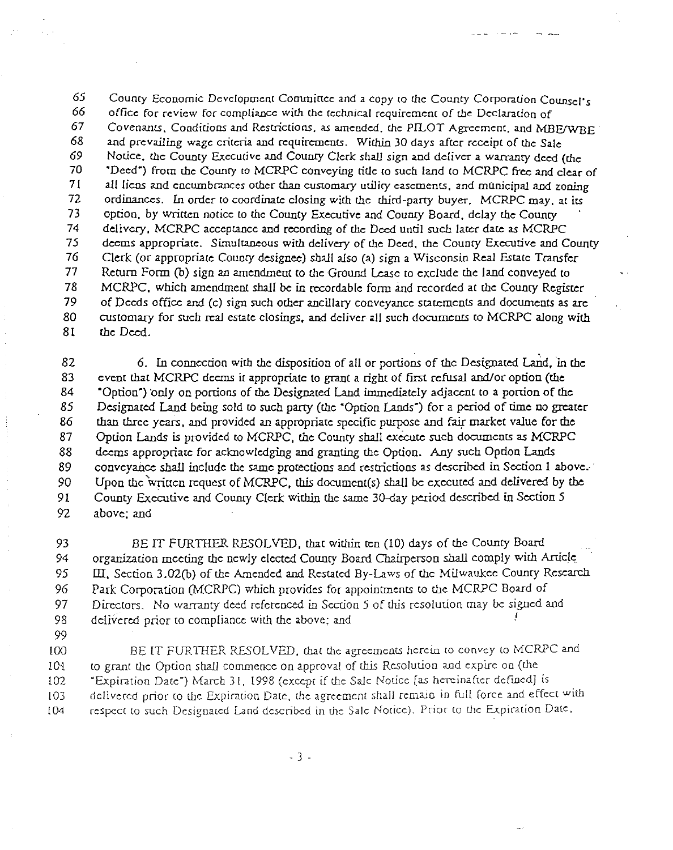65 County Economic Development Committee and a copy to the County Corporation Counsel's<br>66 office for review for compliance with the technical requirement of the Declaration of office for review for compliance with the technical requirement of the Declaration of 67 Covenants, Conditions and Restrictions, as amended, the PILOT Agreement, and MBE/WBE<br>68 and prevailing wage criteria and requirements. Within 30 days after receipt of the Sale 68 and prevailing wage criteria and requirements. Within 30 days after receipt of the Sale<br>69 Notice, the County Executive and County Clerk shall sign and deliver a warranty deed ( 69 Notice, the County Executive and County Clerk shall sign and deliver a warranty deed (the 30<br>69 TDeed") from the County to MCRPC conveying title to such land to MCRPC free and clear 70 "Deed") from rhe Coumy ro MCRPC conveying title to such land to MCRPC free and clear of 71 all liens and encumbrances other than customary utility easements, and municipal and zoning<br>72 ordinances. In order to coordinate closing with the third-party buyer. MCRPC may at its ordinances. In order to coordinate closing with the third-party buyer, MCRPC may, at its 73 option, by written notice to the County Executive and County Board, delay the County 74 delivery, MCRPC acceptance and recording of the Deed until such later date as MCRPC 75 deems appropriate. Simultaneous with delivery of the Deed, the County Executive and County 76 Clerk (or appropriate County designee) *shall* also (a) sign a Wisconsin Real Estate Transfer 77 Return Form (b) sign an amendment to the Ground Lease to exclude the land conveyed to 78 MCRPC. which amendment shall *be* in recordable form and recorded at the County Register of Deeds office and (c) sign such other ancillary conveyance statements and documents as are 80 customary for such real *estate* closings, and deliver all such documenrs to MCRPC along with 81 the Deed.

82 6. In connection with the disposition of all or portions of the Designated Land, in the 83 event that MCRPC deems it appropriate *to* grant a right of first refusal and/or option (the 84 "Option") 'only on portions of the Designated Land immediately adjacent to a portion of the 85 Designated Land being sold to such party (the "Option Lands") for a period of time no greater 86 than three years. and provided an appropriate specific purpose and fair market value for the 87 Option Lands is provided to MCRPC, the County shall execute such documents as MCRPC 88 deems appropriate for acknowledging and granting the Option. Any such Opdon Lands 89 conveyance shall include the same protections and restrictions as described in Section 1 above.<sup>1</sup> 90 Upon the written request of MCRPC, this document(s) shall be executed and delivered by the 91 County Executive and County Clerk within the same 30-day period described in Section 5 92 above; and

93 BE IT FURTHER RESOLVED. that wirhin rca (10) days of the County Board 94 organization meeting the newly elected Coumy Board Chairperson *shall* comply with Article, 95 III, Section 3.02(b) of the Amended and Restated By-Laws of the Milwaukee County Research *96* Park Corporation (MCRPC) which provides for appointments to the MCRPC Board of 97 Directors. No warranty deed referenced in Sco:ion 5 of this resolution may *be* signed and 98 delivered prior to compliance with the above: and

*99* 

100 BE IT FURTHER RESOLVED, that the agreements herein to convey to MCRPC and 101 to grant the Option shall commence on approval of this Resolution and expire on (the 102 "Expiration Date") March 31, 1998 (except if the Sale Notice [as hereinafter defined] is 103 delivered prior to the Expiration Date, the agreement shall remain in full force and effect with 104 respect to such Desigaated Land described in the Sale Notice). Prior to the Expiration Date.

- 3 -